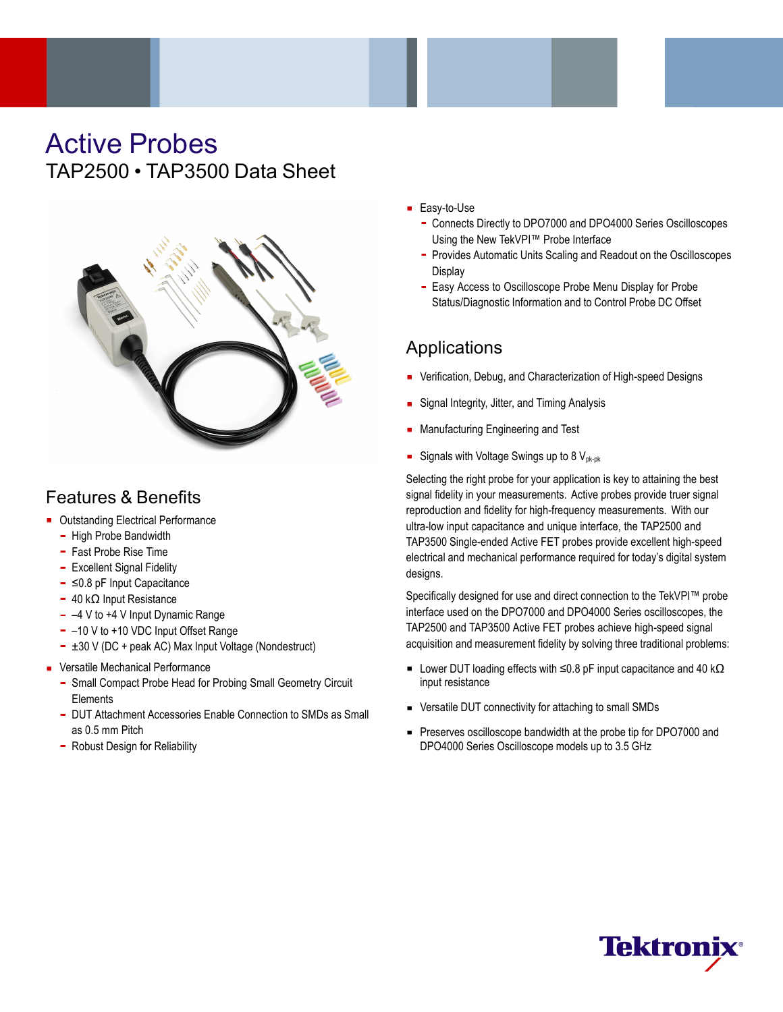# Active Probes TAP2500 • TAP3500 Data Sheet



# Features & Benefits

- **Dutstanding Electrical Performance** 
	- High Probe Bandwidth
	- Fast Probe Rise Time
	- Excellent Signal Fidelity
	- ≤0.8 pF Input Capacitance
	- 40 kΩ Input Resistance
	- –4 V to +4 V Input Dynamic Range
	- –10 V to +10 VDC Input Offset Range
	- ±30 V (DC + peak AC) Max Input Voltage (Nondestruct)
- **versatile Mechanical Performance** 
	- Small Compact Probe Head for Probing Small Geometry Circuit **Elements**
	- DUT Attachment Accessories Enable Connection to SMDs as Small  $\blacksquare$ as 0.5 mm Pitch
	- Robust Design for Reliability
- Easy-to-Use
	- Connects Directly to DPO7000 and DPO4000 Series Oscilloscopes Using the New TekVPI™ Probe Interface
	- Provides Automatic Units Scaling and Readout on the Oscilloscopes **Display**
	- Easy Access to Oscilloscope Probe Menu Display for Probe Status/Diagnostic Information and to Control Probe DC Offset

# Applications

- **•** Verification, Debug, and Characterization of High-speed Designs
- Signal Integrity, Jitter, and Timing Analysis
- **Manufacturing Engineering and Test**
- Signals with Voltage Swings up to 8  $V_{pk-pk}$

Selecting the right probe for your application is key to attaining the best signal fidelity in your measurements. Active probes provide truer signal reproduction and fidelity for high-frequency measurements. With our ultra-low input capacitance and unique interface, the TAP2500 and TAP3500 Single-ended Active FET probes provide excellent high-speed electrical and mechanical performance required for today's digital system designs.

Specifically designed for use and direct connection to the TekVPI™ probe interface used on the DPO7000 and DPO4000 Series oscilloscopes, the TAP2500 and TAP3500 Active FET probes achieve high-speed signal acquisition and measurement fidelity by solving three traditional problems:

- Lower DUT loading effects with ≤0.8 pF input capacitance and 40 k $\Omega$ input resistance
- Versatile DUT connectivity for attaching to small SMDs
- Preserves oscilloscope bandwidth at the probe tip for DPO7000 and DPO4000 Series Oscilloscope models up to 3.5 GHz

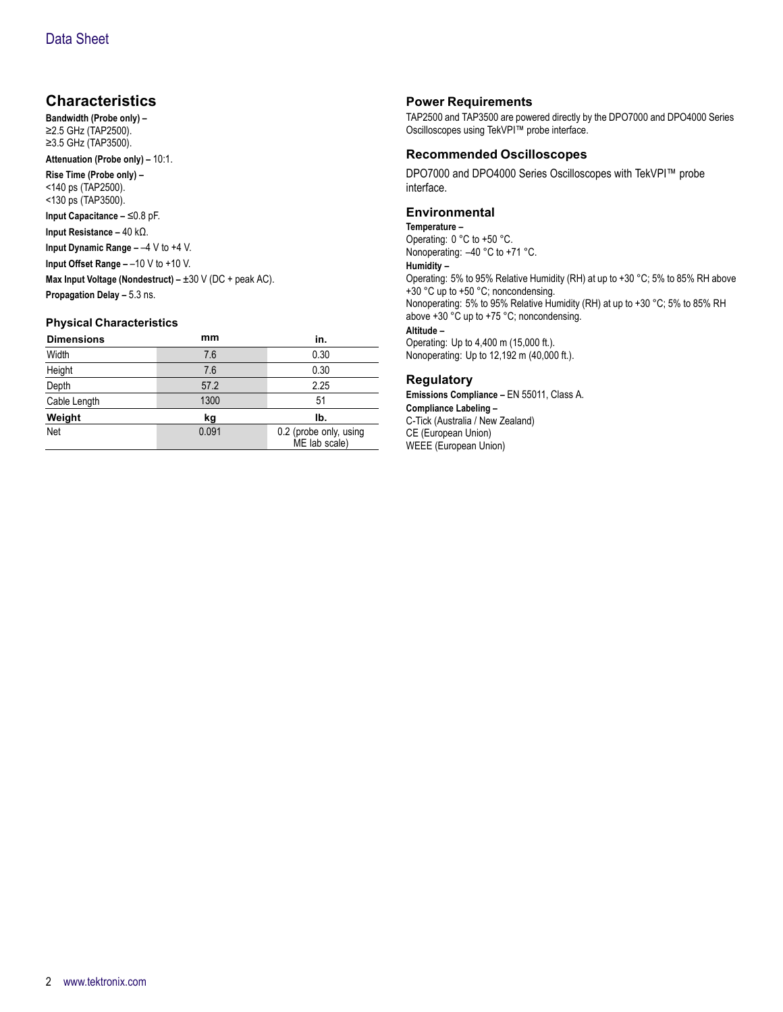### **Characteristics**

**Bandwidth (Probe only) –** ≥2.5 GHz (TAP2500). ≥3.5 GHz (TAP3500).

**Attenuation (Probe only) –** 10:1.

**Rise Time (Probe only) –** <140 ps (TAP2500). <130 ps (TAP3500). **Input Capacitance –** ≤0.8 pF. **Input Resistance –** 40 kΩ. **Input Dynamic Range –** –4 V to +4 V. **Input Offset Range –** –10 V to +10 V. **Max Input Voltage (Nondestruct) –** ±30 V (DC + peak AC). **Propagation Delay –** 5.3 ns.

### **Physical Characteristics**

| <b>Dimensions</b> | mm    | in.                                     |
|-------------------|-------|-----------------------------------------|
| Width             | 7.6   | 0.30                                    |
| Height            | 7.6   | 0.30                                    |
| Depth             | 57.2  | 2.25                                    |
| Cable Length      | 1300  | 51                                      |
| Weight            | kg    | Ib.                                     |
| Net               | 0.091 | 0.2 (probe only, using<br>ME lab scale) |

#### **Power Requirements**

TAP2500 and TAP3500 are powered directly by the DPO7000 and DPO4000 Series Oscilloscopes using TekVPI™ probe interface.

#### **Recommended Oscilloscopes**

DPO7000 and DPO4000 Series Oscilloscopes with TekVPI™ probe interface.

#### **Environmental**

**Temperature –** Operating: 0 °C to +50 °C. Nonoperating: –40 °C to +71 °C. **Humidity –** Operating: 5% to 95% Relative Humidity (RH) at up to +30 °C; 5% to 85% RH above +30 °C up to +50 °C; noncondensing. Nonoperating: 5% to 95% Relative Humidity (RH) at up to +30 °C; 5% to 85% RH above +30 °C up to +75 °C; noncondensing.

#### **Altitude –**

Operating: Up to 4,400 m (15,000 ft.). Nonoperating: Up to 12,192 m (40,000 ft.).

#### **Regulatory**

**Emissions Compliance –** EN 55011, Class A. **Compliance Labeling –**

C-Tick (Australia / New Zealand) CE (European Union) WEEE (European Union)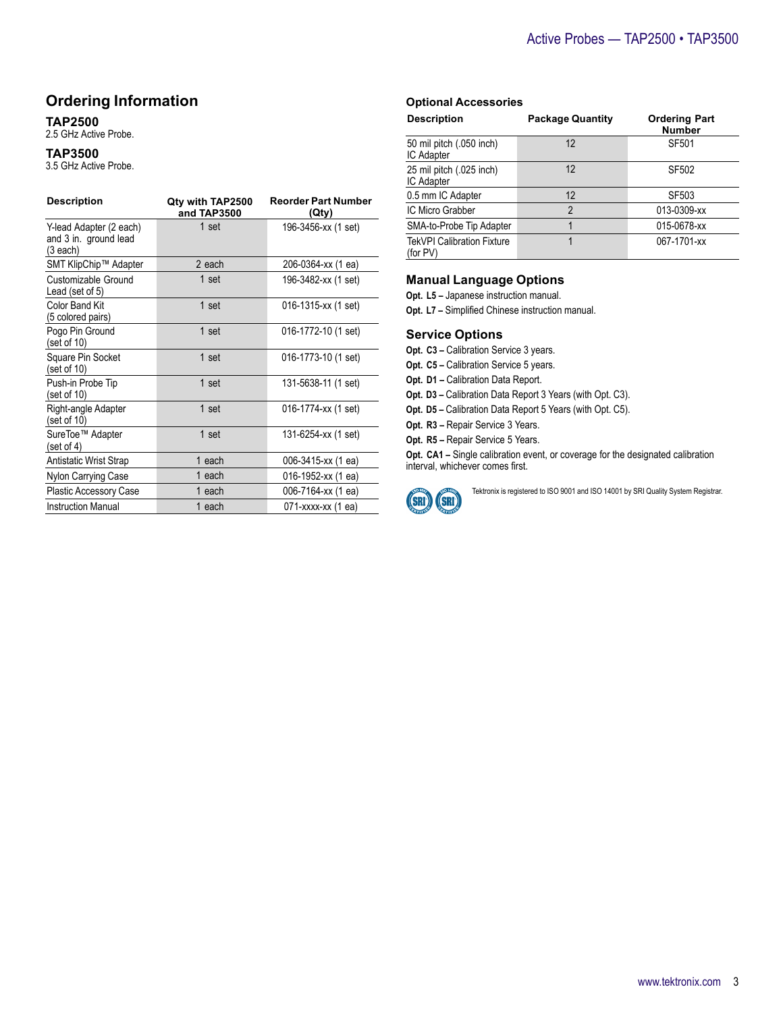## **Ordering Information**

#### **TAP2500**

2.5 GHz Active Probe.

#### **TAP3500**

3.5 GHz Active Probe.

| <b>Description</b>                                             | Qty with TAP2500<br>and TAP3500 | <b>Reorder Part Number</b><br>(Qty) |
|----------------------------------------------------------------|---------------------------------|-------------------------------------|
| Y-lead Adapter (2 each)<br>and 3 in. ground lead<br>$(3$ each) | 1 set                           | 196-3456-xx (1 set)                 |
| SMT KlipChip™ Adapter                                          | 2 each                          | 206-0364-xx (1 ea)                  |
| Customizable Ground<br>Lead (set of 5)                         | 1 set                           | 196-3482-xx (1 set)                 |
| Color Band Kit<br>(5 colored pairs)                            | 1 set                           | 016-1315-xx (1 set)                 |
| Pogo Pin Ground<br>(set of 10)                                 | 1 set                           | 016-1772-10 (1 set)                 |
| Square Pin Socket<br>(set of 10)                               | 1 set                           | 016-1773-10 (1 set)                 |
| Push-in Probe Tip<br>(set of 10)                               | 1 set                           | 131-5638-11 (1 set)                 |
| Right-angle Adapter<br>(set of 10)                             | 1 set                           | 016-1774-xx (1 set)                 |
| SureToe™ Adapter<br>(set of 4)                                 | 1 set                           | 131-6254-xx (1 set)                 |
| <b>Antistatic Wrist Strap</b>                                  | 1 each                          | 006-3415-xx (1 ea)                  |
| Nylon Carrying Case                                            | 1 each                          | 016-1952-xx (1 ea)                  |
| <b>Plastic Accessory Case</b>                                  | 1 each                          | 006-7164-xx (1 ea)                  |
| <b>Instruction Manual</b>                                      | 1 each                          | 071-xxxx-xx (1 ea)                  |

#### **Optional Accessories**

| <b>Description</b>                            | <b>Package Quantity</b> | <b>Ordering Part</b><br><b>Number</b> |
|-----------------------------------------------|-------------------------|---------------------------------------|
| 50 mil pitch (.050 inch)<br>IC Adapter        | 12                      | SF501                                 |
| 25 mil pitch (.025 inch)<br>IC Adapter        | 12                      | SF502                                 |
| 0.5 mm IC Adapter                             | 12                      | SF503                                 |
| IC Micro Grabber                              |                         | 013-0309-xx                           |
| SMA-to-Probe Tip Adapter                      |                         | 015-0678-xx                           |
| <b>TekVPI Calibration Fixture</b><br>(for PV) |                         | 067-1701-xx                           |

#### **Manual Language Options**

**Opt. L5 –** Japanese instruction manual.

**Opt. L7 –** Simplified Chinese instruction manual.

#### **Service Options**

**Opt. C3 –** Calibration Service 3 years.

**Opt. C5 –** Calibration Service 5 years.

**Opt. D1 –** Calibration Data Report.

**Opt. D3 –** Calibration Data Report 3 Years (with Opt. C3).

**Opt. D5 –** Calibration Data Report 5 Years (with Opt. C5).

**Opt. R3 –** Repair Service 3 Years.

**Opt. R5 –** Repair Service 5 Years.

**Opt. CA1 –** Single calibration event, or coverage for the designated calibration interval, whichever comes first.



Tektronix is registered to ISO 9001 and ISO 14001 by SRI Quality System Registrar.